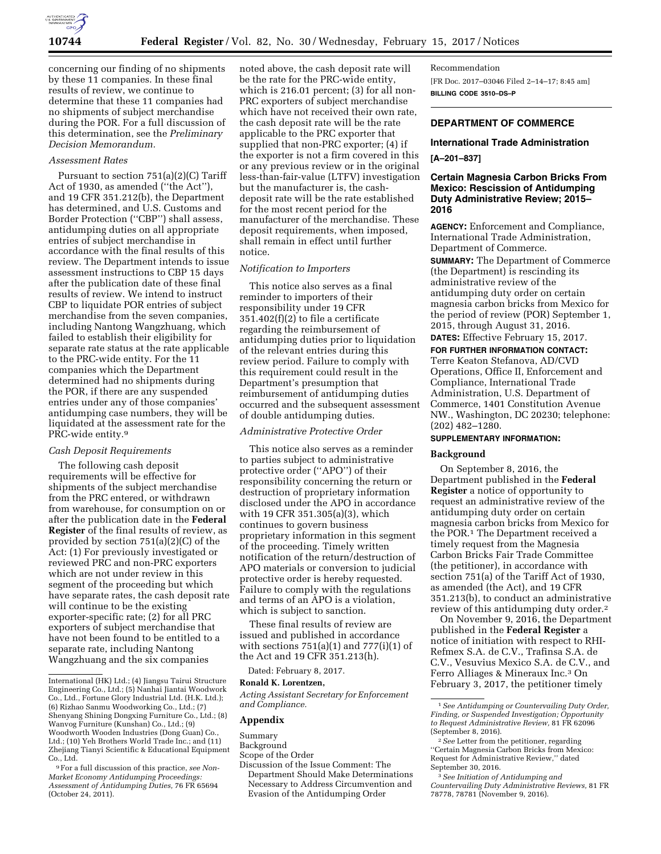

concerning our finding of no shipments by these 11 companies. In these final results of review, we continue to determine that these 11 companies had no shipments of subject merchandise during the POR. For a full discussion of this determination, see the *Preliminary Decision Memorandum.* 

#### *Assessment Rates*

Pursuant to section 751(a)(2)(C) Tariff Act of 1930, as amended (''the Act''), and 19 CFR 351.212(b), the Department has determined, and U.S. Customs and Border Protection (''CBP'') shall assess, antidumping duties on all appropriate entries of subject merchandise in accordance with the final results of this review. The Department intends to issue assessment instructions to CBP 15 days after the publication date of these final results of review. We intend to instruct CBP to liquidate POR entries of subject merchandise from the seven companies, including Nantong Wangzhuang, which failed to establish their eligibility for separate rate status at the rate applicable to the PRC-wide entity. For the 11 companies which the Department determined had no shipments during the POR, if there are any suspended entries under any of those companies' antidumping case numbers, they will be liquidated at the assessment rate for the PRC-wide entity.9

### *Cash Deposit Requirements*

The following cash deposit requirements will be effective for shipments of the subject merchandise from the PRC entered, or withdrawn from warehouse, for consumption on or after the publication date in the **Federal Register** of the final results of review, as provided by section 751(a)(2)(C) of the Act: (1) For previously investigated or reviewed PRC and non-PRC exporters which are not under review in this segment of the proceeding but which have separate rates, the cash deposit rate will continue to be the existing exporter-specific rate; (2) for all PRC exporters of subject merchandise that have not been found to be entitled to a separate rate, including Nantong Wangzhuang and the six companies

noted above, the cash deposit rate will be the rate for the PRC-wide entity, which is 216.01 percent; (3) for all non-PRC exporters of subject merchandise which have not received their own rate, the cash deposit rate will be the rate applicable to the PRC exporter that supplied that non-PRC exporter; (4) if the exporter is not a firm covered in this or any previous review or in the original less-than-fair-value (LTFV) investigation but the manufacturer is, the cashdeposit rate will be the rate established for the most recent period for the manufacturer of the merchandise. These deposit requirements, when imposed, shall remain in effect until further notice.

## *Notification to Importers*

This notice also serves as a final reminder to importers of their responsibility under 19 CFR 351.402(f)(2) to file a certificate regarding the reimbursement of antidumping duties prior to liquidation of the relevant entries during this review period. Failure to comply with this requirement could result in the Department's presumption that reimbursement of antidumping duties occurred and the subsequent assessment of double antidumping duties.

### *Administrative Protective Order*

This notice also serves as a reminder to parties subject to administrative protective order (''APO'') of their responsibility concerning the return or destruction of proprietary information disclosed under the APO in accordance with 19 CFR 351.305(a)(3), which continues to govern business proprietary information in this segment of the proceeding. Timely written notification of the return/destruction of APO materials or conversion to judicial protective order is hereby requested. Failure to comply with the regulations and terms of an APO is a violation, which is subject to sanction.

These final results of review are issued and published in accordance with sections  $751(a)(1)$  and  $777(i)(1)$  of the Act and 19 CFR 351.213(h).

Dated: February 8, 2017.

### **Ronald K. Lorentzen,**

*Acting Assistant Secretary for Enforcement and Compliance.* 

#### **Appendix**

Summary

**Background** 

- Scope of the Order
- Discussion of the Issue Comment: The Department Should Make Determinations Necessary to Address Circumvention and Evasion of the Antidumping Order

Recommendation [FR Doc. 2017–03046 Filed 2–14–17; 8:45 am] **BILLING CODE 3510–DS–P** 

## **DEPARTMENT OF COMMERCE**

### **International Trade Administration**

## **[A–201–837]**

## **Certain Magnesia Carbon Bricks From Mexico: Rescission of Antidumping Duty Administrative Review; 2015– 2016**

**AGENCY:** Enforcement and Compliance, International Trade Administration, Department of Commerce.

**SUMMARY:** The Department of Commerce (the Department) is rescinding its administrative review of the antidumping duty order on certain magnesia carbon bricks from Mexico for the period of review (POR) September 1, 2015, through August 31, 2016.

**DATES:** Effective February 15, 2017. **FOR FURTHER INFORMATION CONTACT:** 

Terre Keaton Stefanova, AD/CVD Operations, Office II, Enforcement and Compliance, International Trade Administration, U.S. Department of Commerce, 1401 Constitution Avenue NW., Washington, DC 20230; telephone: (202) 482–1280.

# **SUPPLEMENTARY INFORMATION:**

### **Background**

On September 8, 2016, the Department published in the **Federal Register** a notice of opportunity to request an administrative review of the antidumping duty order on certain magnesia carbon bricks from Mexico for the POR.1 The Department received a timely request from the Magnesia Carbon Bricks Fair Trade Committee (the petitioner), in accordance with section 751(a) of the Tariff Act of 1930, as amended (the Act), and 19 CFR 351.213(b), to conduct an administrative review of this antidumping duty order.2

On November 9, 2016, the Department published in the **Federal Register** a notice of initiation with respect to RHI-Refmex S.A. de C.V., Trafinsa S.A. de C.V., Vesuvius Mexico S.A. de C.V., and Ferro Alliages & Mineraux Inc.3 On February 3, 2017, the petitioner timely

International (HK) Ltd.; (4) Jiangsu Tairui Structure Engineering Co., Ltd.; (5) Nanhai Jiantai Woodwork Co., Ltd., Fortune Glory Industrial Ltd. (H.K. Ltd.); (6) Rizhao Sanmu Woodworking Co., Ltd.; (7) Shenyang Shining Dongxing Furniture Co., Ltd.; (8) Wanvog Furniture (Kunshan) Co., Ltd.; (9) Woodworth Wooden Industries (Dong Guan) Co., Ltd.; (10) Yeh Brothers World Trade Inc.; and (11) Zhejiang Tianyi Scientific & Educational Equipment Co., Ltd.

<sup>9</sup>For a full discussion of this practice, *see Non-Market Economy Antidumping Proceedings: Assessment of Antidumping Duties,* 76 FR 65694 (October 24, 2011).

<sup>1</sup>*See Antidumping or Countervailing Duty Order, Finding, or Suspended Investigation; Opportunity to Request Administrative Review,* 81 FR 62096 (September 8, 2016).

<sup>2</sup>*See* Letter from the petitioner, regarding ''Certain Magnesia Carbon Bricks from Mexico: Request for Administrative Review,'' dated September 30, 2016.

<sup>3</sup>*See Initiation of Antidumping and Countervailing Duty Administrative Reviews,* 81 FR 78778, 78781 (November 9, 2016).